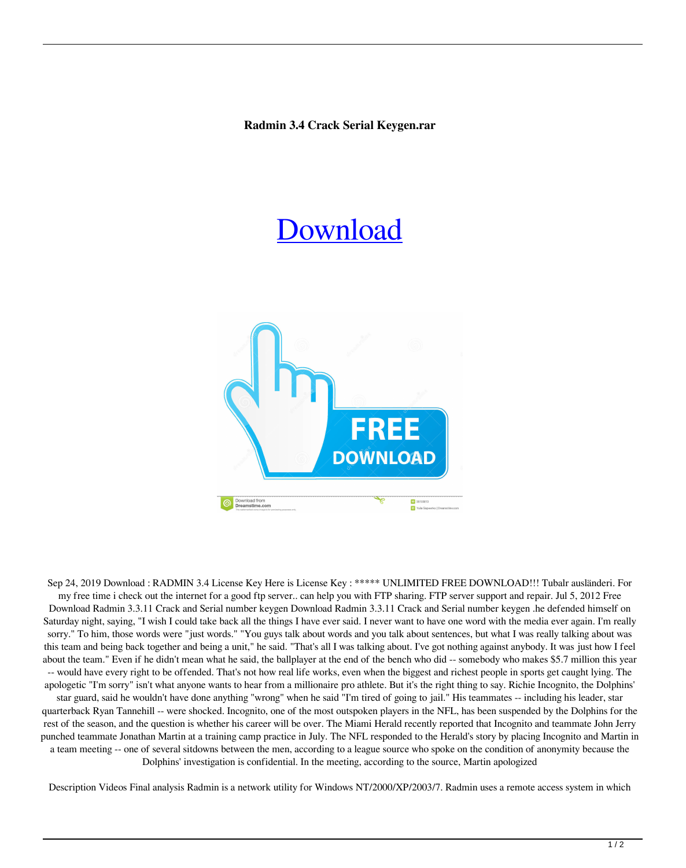## **Radmin 3.4 Crack Serial Keygen.rar**

## [Download](http://evacdir.com/bulking.chemic?forza=cmFkbWluIDMuNCBjcmFjayBzZXJpYWwga2V5Z2VuLnJhcgcmF&mystified=shhhh&spiral=ZG93bmxvYWR8ek8xZVdwOGZERTJOVEkzTkRBNE5qWjhmREkxTnpSOGZDaE5LU0J5WldGa0xXSnNiMmNnVzBaaGMzUWdSMFZPWFE&williss..)



Sep 24, 2019 Download : RADMIN 3.4 License Key Here is License Key : \*\*\*\*\* UNLIMITED FREE DOWNLOAD!!! Tubalr ausländeri. For my free time i check out the internet for a good ftp server.. can help you with FTP sharing. FTP server support and repair. Jul 5, 2012 Free Download Radmin 3.3.11 Crack and Serial number keygen Download Radmin 3.3.11 Crack and Serial number keygen .he defended himself on Saturday night, saying, "I wish I could take back all the things I have ever said. I never want to have one word with the media ever again. I'm really sorry." To him, those words were "just words." "You guys talk about words and you talk about sentences, but what I was really talking about was this team and being back together and being a unit," he said. "That's all I was talking about. I've got nothing against anybody. It was just how I feel about the team." Even if he didn't mean what he said, the ballplayer at the end of the bench who did -- somebody who makes \$5.7 million this year -- would have every right to be offended. That's not how real life works, even when the biggest and richest people in sports get caught lying. The apologetic "I'm sorry" isn't what anyone wants to hear from a millionaire pro athlete. But it's the right thing to say. Richie Incognito, the Dolphins' star guard, said he wouldn't have done anything "wrong" when he said "I'm tired of going to jail." His teammates -- including his leader, star quarterback Ryan Tannehill -- were shocked. Incognito, one of the most outspoken players in the NFL, has been suspended by the Dolphins for the rest of the season, and the question is whether his career will be over. The Miami Herald recently reported that Incognito and teammate John Jerry punched teammate Jonathan Martin at a training camp practice in July. The NFL responded to the Herald's story by placing Incognito and Martin in a team meeting -- one of several sitdowns between the men, according to a league source who spoke on the condition of anonymity because the Dolphins' investigation is confidential. In the meeting, according to the source, Martin apologized

Description Videos Final analysis Radmin is a network utility for Windows NT/2000/XP/2003/7. Radmin uses a remote access system in which